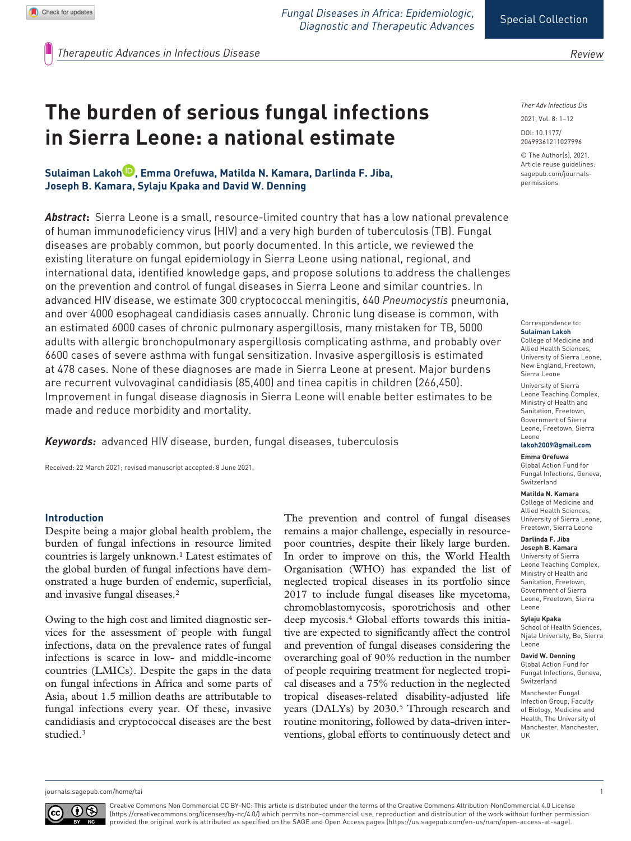*Fungal Diseases in Africa: Epidemiologic, Diagnostic and Therapeutic Advances*

*Review*

*Therapeutic Advances in Infectious Disease* 

# **The burden of serious fungal infections in Sierra Leone: a national estimate**

# **Sulaiman Lakoh , Emma Orefuwa, Matilda N. Kamara, Darlinda F. Jiba, Joseph B. Kamara, Sylaju Kpaka and David W. Denning**

*Abstract***:** Sierra Leone is a small, resource-limited country that has a low national prevalence of human immunodeficiency virus (HIV) and a very high burden of tuberculosis (TB). Fungal diseases are probably common, but poorly documented. In this article, we reviewed the existing literature on fungal epidemiology in Sierra Leone using national, regional, and international data, identified knowledge gaps, and propose solutions to address the challenges on the prevention and control of fungal diseases in Sierra Leone and similar countries. In advanced HIV disease, we estimate 300 cryptococcal meningitis, 640 *Pneumocystis* pneumonia, and over 4000 esophageal candidiasis cases annually. Chronic lung disease is common, with an estimated 6000 cases of chronic pulmonary aspergillosis, many mistaken for TB, 5000 adults with allergic bronchopulmonary aspergillosis complicating asthma, and probably over 6600 cases of severe asthma with fungal sensitization. Invasive aspergillosis is estimated at 478 cases. None of these diagnoses are made in Sierra Leone at present. Major burdens are recurrent vulvovaginal candidiasis (85,400) and tinea capitis in children (266,450). Improvement in fungal disease diagnosis in Sierra Leone will enable better estimates to be made and reduce morbidity and mortality.

*Keywords:* advanced HIV disease, burden, fungal diseases, tuberculosis

Received: 22 March 2021; revised manuscript accepted: 8 June 2021.

#### **Introduction**

Despite being a major global health problem, the burden of fungal infections in resource limited countries is largely unknown.<sup>1</sup> Latest estimates of the global burden of fungal infections have demonstrated a huge burden of endemic, superficial, and invasive fungal diseases.2

Owing to the high cost and limited diagnostic services for the assessment of people with fungal infections, data on the prevalence rates of fungal infections is scarce in low- and middle-income countries (LMICs). Despite the gaps in the data on fungal infections in Africa and some parts of Asia, about 1.5 million deaths are attributable to fungal infections every year. Of these, invasive candidiasis and cryptococcal diseases are the best studied.3

The prevention and control of fungal diseases remains a major challenge, especially in resourcepoor countries, despite their likely large burden. In order to improve on this, the World Health Organisation (WHO) has expanded the list of neglected tropical diseases in its portfolio since 2017 to include fungal diseases like mycetoma, chromoblastomycosis, sporotrichosis and other deep mycosis.4 Global efforts towards this initiative are expected to significantly affect the control and prevention of fungal diseases considering the overarching goal of 90% reduction in the number of people requiring treatment for neglected tropical diseases and a 75% reduction in the neglected tropical diseases-related disability-adjusted life years (DALYs) by 2030.<sup>5</sup> Through research and routine monitoring, followed by data-driven interventions, global efforts to continuously detect and *Ther Adv Infectious Dis*

DOI: 10.1177/ 2021, Vol. 8: 1–12

© The Author(s), 2021. Article reuse guidelines: [sagepub.com/journals](https://uk.sagepub.com/en-gb/journals-permissions)[permissions](https://uk.sagepub.com/en-gb/journals-permissions)

20499361211027996

Correspondence to: **Sulaiman Lakoh**

College of Medicine and Allied Health Sciences, University of Sierra Leone, New England, Freetown, Sierra Leone

University of Sierra Leone Teaching Complex, Ministry of Health and Sanitation, Freetown, Government of Sierra Leone, Freetown, Sierra Leone

#### **[lakoh2009@gmail.com](mailto:lakoh2009@gmail.com)**

**Emma Orefuwa** Global Action Fund for Fungal Infections, Geneva, Switzerland

#### **Matilda N. Kamara**

College of Medicine and Allied Health Sciences, University of Sierra Leone, Freetown, Sierra Leone

#### **Darlinda F. Jiba**

**Joseph B. Kamara** University of Sierra Leone Teaching Complex, Ministry of Health and Sanitation, Freetown, Government of Sierra Leone, Freetown, Sierra Leone

#### **Sylaju Kpaka**

School of Health Sciences, Njala University, Bo, Sierra Leone

#### **David W. Denning**

Global Action Fund for Fungal Infections, Geneva, Switzerland

Manchester Fungal Infection Group, Faculty of Biology, Medicine and Health, The University of Manchester, Manchester, UK

[journals.sagepub.com/home/tai](https://journals.sagepub.com/home/tai) 1



Creative Commons Non Commercial CC BY-NC: This article is distributed under the terms of the Creative Commons Attribution-NonCommercial 4.0 License (https://creativecommons.org/licenses/by-nc/4.0/) which permits non-commercial use, reproduction and distribution of the work without further permission provided the original work is attributed as specified on the SAGE and Open Access pages (https://us.sagepub.com/en-us/nam/open-access-at-sage).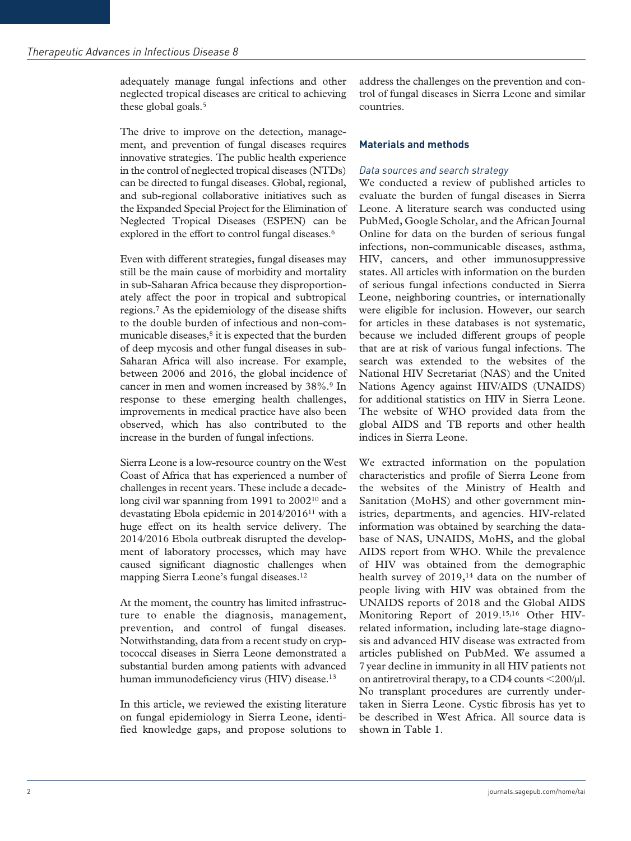adequately manage fungal infections and other neglected tropical diseases are critical to achieving these global goals.<sup>5</sup>

The drive to improve on the detection, management, and prevention of fungal diseases requires innovative strategies. The public health experience in the control of neglected tropical diseases (NTDs) can be directed to fungal diseases. Global, regional, and sub-regional collaborative initiatives such as the Expanded Special Project for the Elimination of Neglected Tropical Diseases (ESPEN) can be explored in the effort to control fungal diseases.<sup>6</sup>

Even with different strategies, fungal diseases may still be the main cause of morbidity and mortality in sub-Saharan Africa because they disproportionately affect the poor in tropical and subtropical regions.7 As the epidemiology of the disease shifts to the double burden of infectious and non-communicable diseases,<sup>8</sup> it is expected that the burden of deep mycosis and other fungal diseases in sub-Saharan Africa will also increase. For example, between 2006 and 2016, the global incidence of cancer in men and women increased by 38%.9 In response to these emerging health challenges, improvements in medical practice have also been observed, which has also contributed to the increase in the burden of fungal infections.

Sierra Leone is a low-resource country on the West Coast of Africa that has experienced a number of challenges in recent years. These include a decadelong civil war spanning from 1991 to 2002<sup>10</sup> and a devastating Ebola epidemic in 2014/201611 with a huge effect on its health service delivery. The 2014/2016 Ebola outbreak disrupted the development of laboratory processes, which may have caused significant diagnostic challenges when mapping Sierra Leone's fungal diseases.12

At the moment, the country has limited infrastructure to enable the diagnosis, management, prevention, and control of fungal diseases. Notwithstanding, data from a recent study on cryptococcal diseases in Sierra Leone demonstrated a substantial burden among patients with advanced human immunodeficiency virus (HIV) disease.<sup>13</sup>

In this article, we reviewed the existing literature on fungal epidemiology in Sierra Leone, identified knowledge gaps, and propose solutions to address the challenges on the prevention and control of fungal diseases in Sierra Leone and similar countries.

# **Materials and methods**

# *Data sources and search strategy*

We conducted a review of published articles to evaluate the burden of fungal diseases in Sierra Leone. A literature search was conducted using PubMed, Google Scholar, and the African Journal Online for data on the burden of serious fungal infections, non-communicable diseases, asthma, HIV, cancers, and other immunosuppressive states. All articles with information on the burden of serious fungal infections conducted in Sierra Leone, neighboring countries, or internationally were eligible for inclusion. However, our search for articles in these databases is not systematic, because we included different groups of people that are at risk of various fungal infections. The search was extended to the websites of the National HIV Secretariat (NAS) and the United Nations Agency against HIV/AIDS (UNAIDS) for additional statistics on HIV in Sierra Leone. The website of WHO provided data from the global AIDS and TB reports and other health indices in Sierra Leone.

We extracted information on the population characteristics and profile of Sierra Leone from the websites of the Ministry of Health and Sanitation (MoHS) and other government ministries, departments, and agencies. HIV-related information was obtained by searching the database of NAS, UNAIDS, MoHS, and the global AIDS report from WHO. While the prevalence of HIV was obtained from the demographic health survey of 2019,<sup>14</sup> data on the number of people living with HIV was obtained from the UNAIDS reports of 2018 and the Global AIDS Monitoring Report of 2019.15,16 Other HIVrelated information, including late-stage diagnosis and advanced HIV disease was extracted from articles published on PubMed. We assumed a 7year decline in immunity in all HIV patients not on antiretroviral therapy, to a CD4 counts <200/µl. No transplant procedures are currently undertaken in Sierra Leone. Cystic fibrosis has yet to be described in West Africa. All source data is shown in Table 1.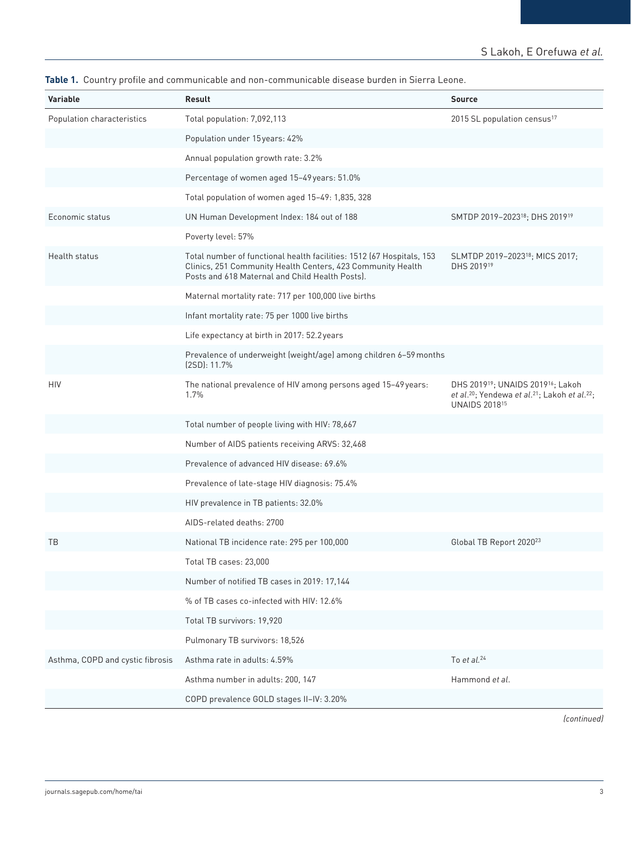| Table 1. Country profile and communicable and non-communicable disease burden in Sierra Leone. |  |
|------------------------------------------------------------------------------------------------|--|
|------------------------------------------------------------------------------------------------|--|

| <b>Variable</b>                  | Result                                                                                                                                                                                  | <b>Source</b>                                                                                                                                                            |
|----------------------------------|-----------------------------------------------------------------------------------------------------------------------------------------------------------------------------------------|--------------------------------------------------------------------------------------------------------------------------------------------------------------------------|
| Population characteristics       | Total population: 7,092,113                                                                                                                                                             | 2015 SL population census <sup>17</sup>                                                                                                                                  |
|                                  | Population under 15 years: 42%                                                                                                                                                          |                                                                                                                                                                          |
|                                  | Annual population growth rate: 3.2%                                                                                                                                                     |                                                                                                                                                                          |
|                                  | Percentage of women aged 15-49 years: 51.0%                                                                                                                                             |                                                                                                                                                                          |
|                                  | Total population of women aged 15-49: 1,835, 328                                                                                                                                        |                                                                                                                                                                          |
| Economic status                  | UN Human Development Index: 184 out of 188                                                                                                                                              | SMTDP 2019-2023 <sup>18</sup> ; DHS 2019 <sup>19</sup>                                                                                                                   |
|                                  | Poverty level: 57%                                                                                                                                                                      |                                                                                                                                                                          |
| Health status                    | Total number of functional health facilities: 1512 (67 Hospitals, 153<br>Clinics, 251 Community Health Centers, 423 Community Health<br>Posts and 618 Maternal and Child Health Posts). | SLMTDP 2019-2023 <sup>18</sup> ; MICS 2017;<br>DHS 201919                                                                                                                |
|                                  | Maternal mortality rate: 717 per 100,000 live births                                                                                                                                    |                                                                                                                                                                          |
|                                  | Infant mortality rate: 75 per 1000 live births                                                                                                                                          |                                                                                                                                                                          |
|                                  | Life expectancy at birth in 2017: 52.2 years                                                                                                                                            |                                                                                                                                                                          |
|                                  | Prevalence of underweight (weight/age) among children 6-59 months<br>(2SD): 11.7%                                                                                                       |                                                                                                                                                                          |
| HIV                              | The national prevalence of HIV among persons aged 15-49 years:<br>1.7%                                                                                                                  | DHS 2019 <sup>19</sup> ; UNAIDS 2019 <sup>16</sup> ; Lakoh<br>et al. <sup>20</sup> ; Yendewa et al. <sup>21</sup> ; Lakoh et al. <sup>22</sup> ;<br><b>UNAIDS 201815</b> |
|                                  | Total number of people living with HIV: 78,667                                                                                                                                          |                                                                                                                                                                          |
|                                  | Number of AIDS patients receiving ARVS: 32,468                                                                                                                                          |                                                                                                                                                                          |
|                                  | Prevalence of advanced HIV disease: 69.6%                                                                                                                                               |                                                                                                                                                                          |
|                                  | Prevalence of late-stage HIV diagnosis: 75.4%                                                                                                                                           |                                                                                                                                                                          |
|                                  | HIV prevalence in TB patients: 32.0%                                                                                                                                                    |                                                                                                                                                                          |
|                                  | AIDS-related deaths: 2700                                                                                                                                                               |                                                                                                                                                                          |
| TВ                               | National TB incidence rate: 295 per 100,000                                                                                                                                             | Global TB Report 2020 <sup>23</sup>                                                                                                                                      |
|                                  | Total TB cases: 23,000                                                                                                                                                                  |                                                                                                                                                                          |
|                                  | Number of notified TB cases in 2019: 17,144                                                                                                                                             |                                                                                                                                                                          |
|                                  | % of TB cases co-infected with HIV: 12.6%                                                                                                                                               |                                                                                                                                                                          |
|                                  | Total TB survivors: 19,920                                                                                                                                                              |                                                                                                                                                                          |
|                                  | Pulmonary TB survivors: 18,526                                                                                                                                                          |                                                                                                                                                                          |
| Asthma, COPD and cystic fibrosis | Asthma rate in adults: 4.59%                                                                                                                                                            | To $et$ al. $24$                                                                                                                                                         |
|                                  | Asthma number in adults: 200, 147                                                                                                                                                       | Hammond et al.                                                                                                                                                           |
|                                  | COPD prevalence GOLD stages II-IV: 3.20%                                                                                                                                                |                                                                                                                                                                          |

*(continued)*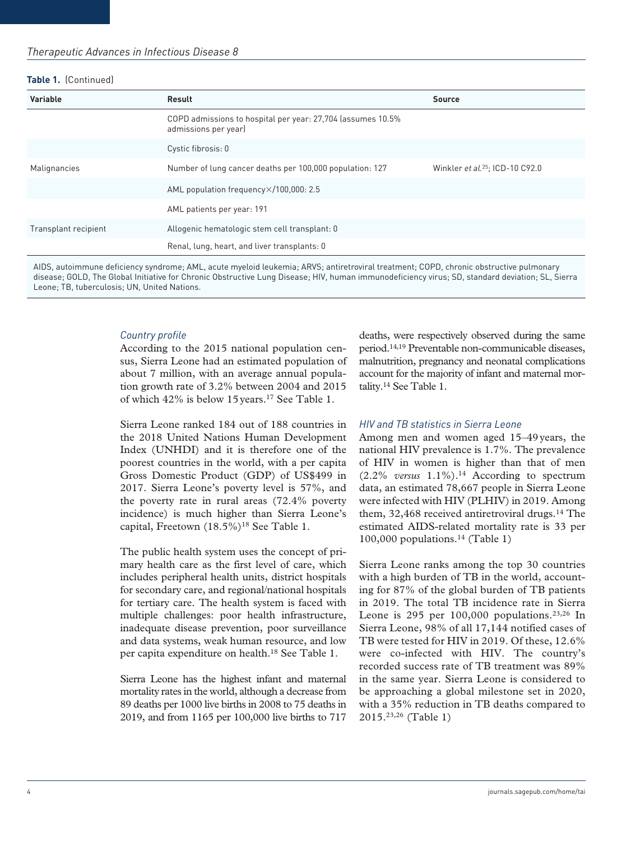#### **Table 1.** (Continued)

| Variable             | Result                                                                              | <b>Source</b>                      |
|----------------------|-------------------------------------------------------------------------------------|------------------------------------|
|                      | COPD admissions to hospital per year: 27,704 (assumes 10.5%<br>admissions per year) |                                    |
|                      | Cystic fibrosis: 0                                                                  |                                    |
| Malignancies         | Number of lung cancer deaths per 100,000 population: 127                            | Winkler et al. $25$ : ICD-10 C92.0 |
|                      | AML population frequency×/100,000: 2.5                                              |                                    |
|                      | AML patients per year: 191                                                          |                                    |
| Transplant recipient | Allogenic hematologic stem cell transplant: 0                                       |                                    |
|                      | Renal, lung, heart, and liver transplants: 0                                        |                                    |

AIDS, autoimmune deficiency syndrome; AML, acute myeloid leukemia; ARVS; antiretroviral treatment; COPD, chronic obstructive pulmonary disease; GOLD, The Global Initiative for Chronic Obstructive Lung Disease; HIV, human immunodeficiency virus; SD, standard deviation; SL, Sierra Leone; TB, tuberculosis; UN, United Nations.

#### *Country profile*

According to the 2015 national population census, Sierra Leone had an estimated population of about 7 million, with an average annual population growth rate of 3.2% between 2004 and 2015 of which 42% is below 15years.17 See Table 1.

Sierra Leone ranked 184 out of 188 countries in the 2018 United Nations Human Development Index (UNHDI) and it is therefore one of the poorest countries in the world, with a per capita Gross Domestic Product (GDP) of US\$499 in 2017. Sierra Leone's poverty level is 57%, and the poverty rate in rural areas (72.4% poverty incidence) is much higher than Sierra Leone's capital, Freetown (18.5%)<sup>18</sup> See Table 1.

The public health system uses the concept of primary health care as the first level of care, which includes peripheral health units, district hospitals for secondary care, and regional/national hospitals for tertiary care. The health system is faced with multiple challenges: poor health infrastructure, inadequate disease prevention, poor surveillance and data systems, weak human resource, and low per capita expenditure on health.18 See Table 1.

Sierra Leone has the highest infant and maternal mortality rates in the world, although a decrease from 89 deaths per 1000 live births in 2008 to 75 deaths in 2019, and from 1165 per 100,000 live births to 717 deaths, were respectively observed during the same period.14,19 Preventable non-communicable diseases, malnutrition, pregnancy and neonatal complications account for the majority of infant and maternal mortality.14 See Table 1.

#### *HIV and TB statistics in Sierra Leone*

Among men and women aged 15–49years, the national HIV prevalence is 1.7%. The prevalence of HIV in women is higher than that of men (2.2% *versus* 1.1%).14 According to spectrum data, an estimated 78,667 people in Sierra Leone were infected with HIV (PLHIV) in 2019. Among them, 32,468 received antiretroviral drugs.<sup>14</sup> The estimated AIDS-related mortality rate is 33 per 100,000 populations.<sup>14</sup> (Table 1)

Sierra Leone ranks among the top 30 countries with a high burden of TB in the world, accounting for 87% of the global burden of TB patients in 2019. The total TB incidence rate in Sierra Leone is 295 per  $100,000$  populations.<sup>23,26</sup> In Sierra Leone, 98% of all 17,144 notified cases of TB were tested for HIV in 2019. Of these, 12.6% were co-infected with HIV. The country's recorded success rate of TB treatment was 89% in the same year. Sierra Leone is considered to be approaching a global milestone set in 2020, with a 35% reduction in TB deaths compared to 2015.23,26 (Table 1)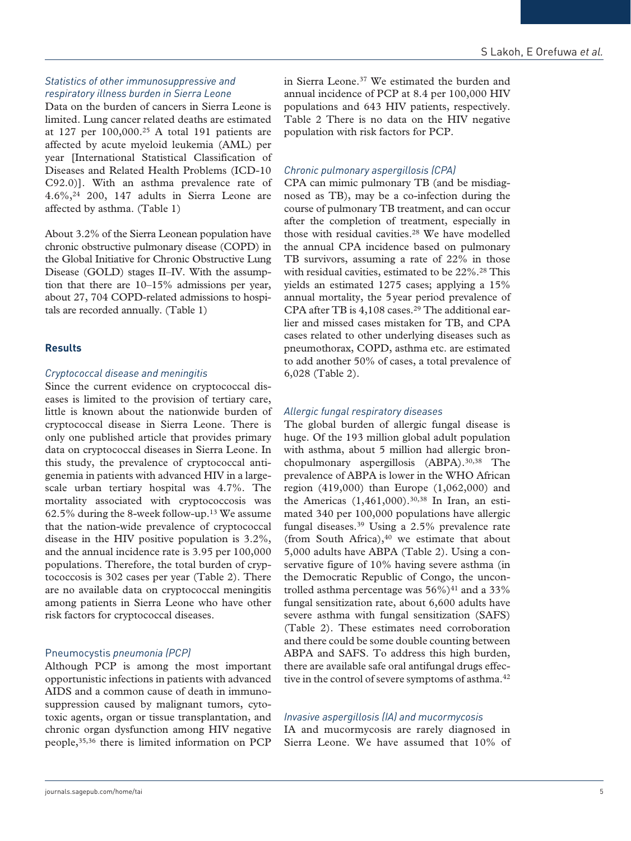# *Statistics of other immunosuppressive and respiratory illness burden in Sierra Leone*

Data on the burden of cancers in Sierra Leone is limited. Lung cancer related deaths are estimated at 127 per 100,000.25 A total 191 patients are affected by acute myeloid leukemia (AML) per year [International Statistical Classification of Diseases and Related Health Problems (ICD-10 C92.0)]. With an asthma prevalence rate of 4.6%,24 200, 147 adults in Sierra Leone are affected by asthma. (Table 1)

About 3.2% of the Sierra Leonean population have chronic obstructive pulmonary disease (COPD) in the Global Initiative for Chronic Obstructive Lung Disease (GOLD) stages II–IV. With the assumption that there are 10–15% admissions per year, about 27, 704 COPD-related admissions to hospitals are recorded annually. (Table 1)

## **Results**

#### *Cryptococcal disease and meningitis*

Since the current evidence on cryptococcal diseases is limited to the provision of tertiary care, little is known about the nationwide burden of cryptococcal disease in Sierra Leone. There is only one published article that provides primary data on cryptococcal diseases in Sierra Leone. In this study, the prevalence of cryptococcal antigenemia in patients with advanced HIV in a largescale urban tertiary hospital was 4.7%. The mortality associated with cryptococcosis was 62.5% during the 8-week follow-up.13 We assume that the nation-wide prevalence of cryptococcal disease in the HIV positive population is 3.2%, and the annual incidence rate is 3.95 per 100,000 populations. Therefore, the total burden of cryptococcosis is 302 cases per year (Table 2). There are no available data on cryptococcal meningitis among patients in Sierra Leone who have other risk factors for cryptococcal diseases.

#### Pneumocystis *pneumonia (PCP)*

Although PCP is among the most important opportunistic infections in patients with advanced AIDS and a common cause of death in immunosuppression caused by malignant tumors, cytotoxic agents, organ or tissue transplantation, and chronic organ dysfunction among HIV negative people,35,36 there is limited information on PCP

in Sierra Leone.37 We estimated the burden and annual incidence of PCP at 8.4 per 100,000 HIV populations and 643 HIV patients, respectively. Table 2 There is no data on the HIV negative population with risk factors for PCP.

## *Chronic pulmonary aspergillosis (CPA)*

CPA can mimic pulmonary TB (and be misdiagnosed as TB), may be a co-infection during the course of pulmonary TB treatment, and can occur after the completion of treatment, especially in those with residual cavities.28 We have modelled the annual CPA incidence based on pulmonary TB survivors, assuming a rate of 22% in those with residual cavities, estimated to be 22%.<sup>28</sup> This yields an estimated 1275 cases; applying a 15% annual mortality, the 5year period prevalence of CPA after TB is 4,108 cases.<sup>29</sup> The additional earlier and missed cases mistaken for TB, and CPA cases related to other underlying diseases such as pneumothorax, COPD, asthma etc. are estimated to add another 50% of cases, a total prevalence of 6,028 (Table 2).

## *Allergic fungal respiratory diseases*

The global burden of allergic fungal disease is huge. Of the 193 million global adult population with asthma, about 5 million had allergic bronchopulmonary aspergillosis (ABPA).<sup>30,38</sup> The prevalence of ABPA is lower in the WHO African region (419,000) than Europe (1,062,000) and the Americas  $(1,461,000)$ .<sup>30,38</sup> In Iran, an estimated 340 per 100,000 populations have allergic fungal diseases.39 Using a 2.5% prevalence rate (from South Africa), $40$  we estimate that about 5,000 adults have ABPA (Table 2). Using a conservative figure of 10% having severe asthma (in the Democratic Republic of Congo, the uncontrolled asthma percentage was  $56\%$ <sup>41</sup> and a 33% fungal sensitization rate, about 6,600 adults have severe asthma with fungal sensitization (SAFS) (Table 2). These estimates need corroboration and there could be some double counting between ABPA and SAFS. To address this high burden, there are available safe oral antifungal drugs effective in the control of severe symptoms of asthma.<sup>42</sup>

## *Invasive aspergillosis (IA) and mucormycosis*

IA and mucormycosis are rarely diagnosed in Sierra Leone. We have assumed that 10% of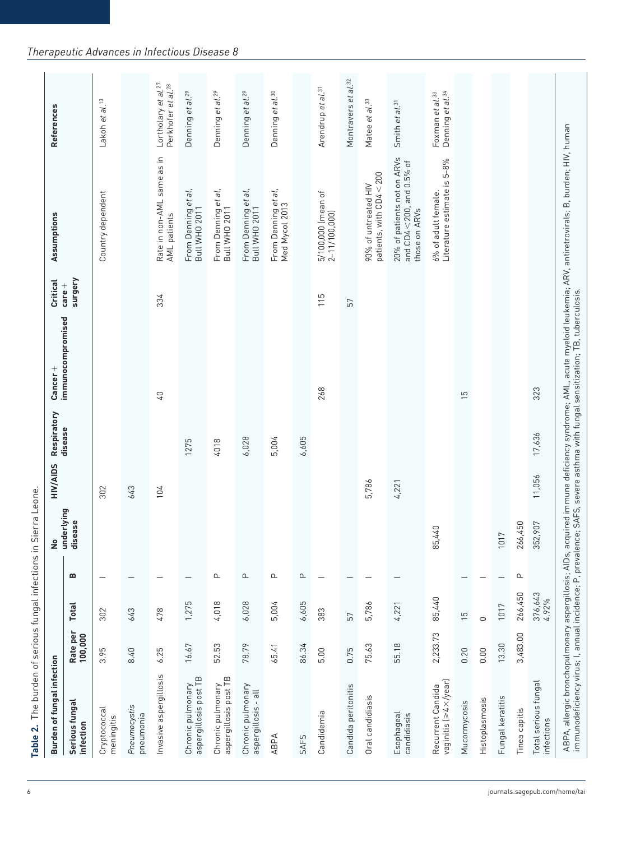| Burden of fungal infection                 |                     |                  |                                 | ş                     | HIV/AIDS | Respiratory | Cancer +          | Critical            | Assumptions                                                                      | References                                                        |
|--------------------------------------------|---------------------|------------------|---------------------------------|-----------------------|----------|-------------|-------------------|---------------------|----------------------------------------------------------------------------------|-------------------------------------------------------------------|
| Serious fungal<br>infection                | Rate per<br>100,000 | <b>Total</b>     | $\bf{m}$                        | underlying<br>disease |          | disease     | immunocompromised | surgery<br>$care +$ |                                                                                  |                                                                   |
| Cryptococcal<br>meningitis                 | 3.95                | 302              |                                 |                       | 302      |             |                   |                     | Country dependent                                                                | Lakoh et al. <sup>13</sup>                                        |
| Pneumocystis<br>pneumonia                  | 8.40                | 643              |                                 |                       | 643      |             |                   |                     |                                                                                  |                                                                   |
| Invasive aspergillosis                     | 6.25                | 478              |                                 |                       | 104      |             | $\sqrt{4}$        | 334                 | Rate in non-AML same as in<br>AML patients                                       | Lortholary et al. <sup>27</sup><br>Perkhofer et al. <sup>28</sup> |
| aspergillosis post TB<br>Chronic pulmonary | 16.67               | 1,275            |                                 |                       |          | 1275        |                   |                     | From Denning et al,<br><b>Bull WHO 2011</b>                                      | Denning et al. <sup>29</sup>                                      |
| aspergillosis post TB<br>Chronic pulmonary | 52.53               | 4,018            | $\mathbf{\Omega}$               |                       |          | 4018        |                   |                     | From Denning et al,<br>Bull WHO 2011                                             | Denning et al. <sup>29</sup>                                      |
| Chronic pulmonary<br>aspergillosis - all   | 78.79               | 6,028            | $\mathbf{r}$                    |                       |          | 6,028       |                   |                     | From Denning et al,<br>Bull WHO 2011                                             | al. <sup>29</sup><br>Denning et                                   |
| <b>ABPA</b>                                | 65.41               | 5,004            | ௨                               |                       |          | 5,004       |                   |                     | From Denning et al,<br>Med Mycol 2013                                            | Denning et al. <sup>30</sup>                                      |
| SAFS                                       | 86.34               | 6,605            | $\mathbf{\underline{\upalpha}}$ |                       |          | 6,605       |                   |                     |                                                                                  |                                                                   |
| Candidemia                                 | 5.00                | 383              |                                 |                       |          |             | 268               | 115                 | 5/100,000 (mean of<br>2–11/100,000)                                              | Arendrup et al. <sup>31</sup>                                     |
| Candida peritonitis                        | 0.75                | 57               |                                 |                       |          |             |                   | 57                  |                                                                                  | Montravers et al.32                                               |
| Oral candidiasis                           | 75.63               | 5,786            |                                 |                       | 5,786    |             |                   |                     | patients, with CD4 < 200<br>90% of untreated HIV                                 | Matee et al.33                                                    |
| Esophageal<br>candidiasis                  | 55.18               | 4,221            |                                 |                       | 4,221    |             |                   |                     | 20% of patients not on ARVs<br>and $CD4 < 200$ , and $0.5\%$ of<br>those on ARVs | Smith et al. <sup>31</sup>                                        |
| vaginitis (>4×/year)<br>Recurrent Candida  | 2,233.73            | 85,440           |                                 | 440<br>85             |          |             |                   |                     | Literature estimate is 5-8%<br>6% of adult female.                               | Foxman et al. <sup>33</sup><br>Denning et al. <sup>34</sup>       |
| Mucormycosis                               | 0.20                | $\frac{5}{1}$    |                                 |                       |          |             | 5L                |                     |                                                                                  |                                                                   |
| Histoplasmosis                             | 0.00                | $\circ$          |                                 |                       |          |             |                   |                     |                                                                                  |                                                                   |
| Fungal keratitis                           | 13.30               | 1017             |                                 | 1017                  |          |             |                   |                     |                                                                                  |                                                                   |
| Tinea capitis                              | 3,483.00            | 266,450          | $\mathsf \alpha$                | 266,450               |          |             |                   |                     |                                                                                  |                                                                   |
| Total serious fungal<br>infections         |                     | 376,643<br>4.92% |                                 | 352,907               | 11,056   | 17,636      | 323               |                     |                                                                                  |                                                                   |

# *Therapeutic Advances in Infectious Disease 8*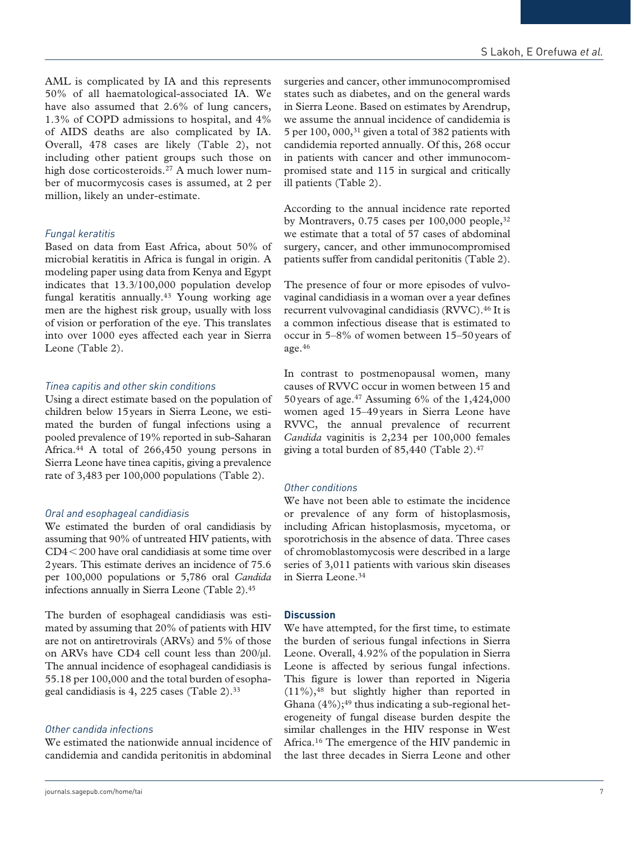AML is complicated by IA and this represents 50% of all haematological-associated IA. We have also assumed that 2.6% of lung cancers, 1.3% of COPD admissions to hospital, and 4% of AIDS deaths are also complicated by IA. Overall, 478 cases are likely (Table 2), not including other patient groups such those on high dose corticosteroids.<sup>27</sup> A much lower number of mucormycosis cases is assumed, at 2 per million, likely an under-estimate.

# *Fungal keratitis*

Based on data from East Africa, about 50% of microbial keratitis in Africa is fungal in origin. A modeling paper using data from Kenya and Egypt indicates that 13.3/100,000 population develop fungal keratitis annually.43 Young working age men are the highest risk group, usually with loss of vision or perforation of the eye. This translates into over 1000 eyes affected each year in Sierra Leone (Table 2).

# *Tinea capitis and other skin conditions*

Using a direct estimate based on the population of children below 15years in Sierra Leone, we estimated the burden of fungal infections using a pooled prevalence of 19% reported in sub-Saharan Africa.44 A total of 266,450 young persons in Sierra Leone have tinea capitis, giving a prevalence rate of 3,483 per 100,000 populations (Table 2).

# *Oral and esophageal candidiasis*

We estimated the burden of oral candidiasis by assuming that 90% of untreated HIV patients, with CD4<200 have oral candidiasis at some time over 2years. This estimate derives an incidence of 75.6 per 100,000 populations or 5,786 oral *Candida* infections annually in Sierra Leone (Table 2).45

The burden of esophageal candidiasis was estimated by assuming that 20% of patients with HIV are not on antiretrovirals (ARVs) and 5% of those on ARVs have CD4 cell count less than 200/µl. The annual incidence of esophageal candidiasis is 55.18 per 100,000 and the total burden of esophageal candidiasis is 4, 225 cases (Table 2).33

# *Other candida infections*

We estimated the nationwide annual incidence of candidemia and candida peritonitis in abdominal surgeries and cancer, other immunocompromised states such as diabetes, and on the general wards in Sierra Leone. Based on estimates by Arendrup, we assume the annual incidence of candidemia is 5 per 100, 000,31 given a total of 382 patients with candidemia reported annually. Of this, 268 occur in patients with cancer and other immunocompromised state and 115 in surgical and critically ill patients (Table 2).

According to the annual incidence rate reported by Montravers, 0.75 cases per 100,000 people,<sup>32</sup> we estimate that a total of 57 cases of abdominal surgery, cancer, and other immunocompromised patients suffer from candidal peritonitis (Table 2).

The presence of four or more episodes of vulvovaginal candidiasis in a woman over a year defines recurrent vulvovaginal candidiasis (RVVC).<sup>46</sup> It is a common infectious disease that is estimated to occur in 5–8% of women between 15–50years of age. $46$ 

In contrast to postmenopausal women, many causes of RVVC occur in women between 15 and 50 years of age.<sup>47</sup> Assuming 6% of the  $1,424,000$ women aged 15–49years in Sierra Leone have RVVC, the annual prevalence of recurrent *Candida* vaginitis is 2,234 per 100,000 females giving a total burden of  $85,440$  (Table 2).<sup>47</sup>

# *Other conditions*

We have not been able to estimate the incidence or prevalence of any form of histoplasmosis, including African histoplasmosis, mycetoma, or sporotrichosis in the absence of data. Three cases of chromoblastomycosis were described in a large series of 3,011 patients with various skin diseases in Sierra Leone.34

# **Discussion**

We have attempted, for the first time, to estimate the burden of serious fungal infections in Sierra Leone. Overall, 4.92% of the population in Sierra Leone is affected by serious fungal infections. This figure is lower than reported in Nigeria (11%),48 but slightly higher than reported in Ghana  $(4\%)$ ;<sup>49</sup> thus indicating a sub-regional heterogeneity of fungal disease burden despite the similar challenges in the HIV response in West Africa.16 The emergence of the HIV pandemic in the last three decades in Sierra Leone and other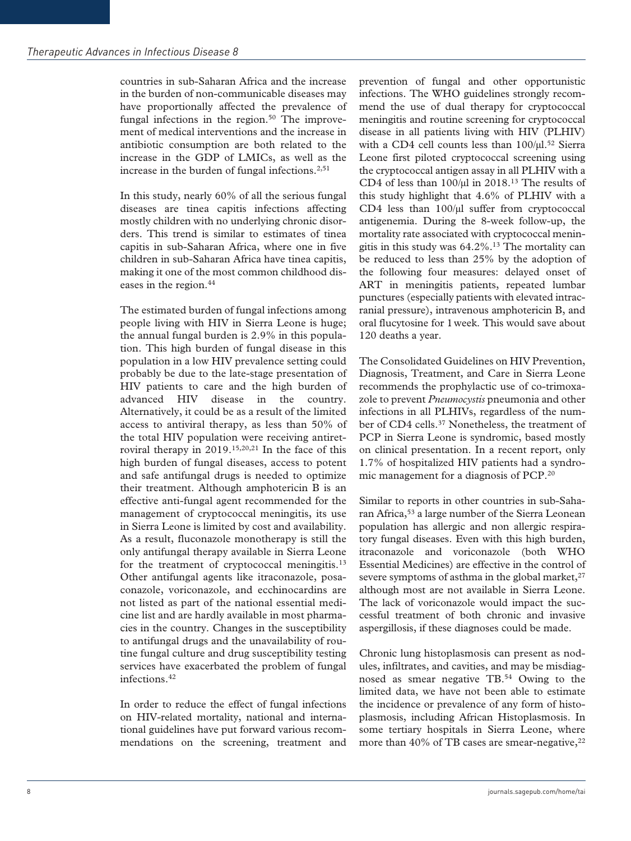countries in sub-Saharan Africa and the increase in the burden of non-communicable diseases may have proportionally affected the prevalence of fungal infections in the region.<sup>50</sup> The improvement of medical interventions and the increase in antibiotic consumption are both related to the increase in the GDP of LMICs, as well as the increase in the burden of fungal infections.<sup>2,51</sup>

In this study, nearly 60% of all the serious fungal diseases are tinea capitis infections affecting mostly children with no underlying chronic disorders. This trend is similar to estimates of tinea capitis in sub-Saharan Africa, where one in five children in sub-Saharan Africa have tinea capitis, making it one of the most common childhood diseases in the region.<sup>44</sup>

The estimated burden of fungal infections among people living with HIV in Sierra Leone is huge; the annual fungal burden is 2.9% in this population. This high burden of fungal disease in this population in a low HIV prevalence setting could probably be due to the late-stage presentation of HIV patients to care and the high burden of advanced HIV disease in the country. Alternatively, it could be as a result of the limited access to antiviral therapy, as less than 50% of the total HIV population were receiving antiretroviral therapy in 2019.15,20,21 In the face of this high burden of fungal diseases, access to potent and safe antifungal drugs is needed to optimize their treatment. Although amphotericin B is an effective anti-fungal agent recommended for the management of cryptococcal meningitis, its use in Sierra Leone is limited by cost and availability. As a result, fluconazole monotherapy is still the only antifungal therapy available in Sierra Leone for the treatment of cryptococcal meningitis.<sup>13</sup> Other antifungal agents like itraconazole, posaconazole, voriconazole, and ecchinocardins are not listed as part of the national essential medicine list and are hardly available in most pharmacies in the country. Changes in the susceptibility to antifungal drugs and the unavailability of routine fungal culture and drug susceptibility testing services have exacerbated the problem of fungal infections.42

In order to reduce the effect of fungal infections on HIV-related mortality, national and international guidelines have put forward various recommendations on the screening, treatment and prevention of fungal and other opportunistic infections. The WHO guidelines strongly recommend the use of dual therapy for cryptococcal meningitis and routine screening for cryptococcal disease in all patients living with HIV (PLHIV) with a CD4 cell counts less than  $100/\mu$ l.<sup>52</sup> Sierra Leone first piloted cryptococcal screening using the cryptococcal antigen assay in all PLHIV with a CD4 of less than  $100/\mu$ l in 2018.<sup>13</sup> The results of this study highlight that 4.6% of PLHIV with a CD4 less than 100/µl suffer from cryptococcal antigenemia. During the 8-week follow-up, the mortality rate associated with cryptococcal meningitis in this study was 64.2%.13 The mortality can be reduced to less than 25% by the adoption of the following four measures: delayed onset of ART in meningitis patients, repeated lumbar punctures (especially patients with elevated intracranial pressure), intravenous amphotericin B, and oral flucytosine for 1week. This would save about 120 deaths a year.

The Consolidated Guidelines on HIV Prevention, Diagnosis, Treatment, and Care in Sierra Leone recommends the prophylactic use of co-trimoxazole to prevent *Pneumocystis* pneumonia and other infections in all PLHIVs, regardless of the number of CD4 cells.<sup>37</sup> Nonetheless, the treatment of PCP in Sierra Leone is syndromic, based mostly on clinical presentation. In a recent report, only 1.7% of hospitalized HIV patients had a syndromic management for a diagnosis of PCP.20

Similar to reports in other countries in sub-Saharan Africa,53 a large number of the Sierra Leonean population has allergic and non allergic respiratory fungal diseases. Even with this high burden, itraconazole and voriconazole (both WHO Essential Medicines) are effective in the control of severe symptoms of asthma in the global market, $27$ although most are not available in Sierra Leone. The lack of voriconazole would impact the successful treatment of both chronic and invasive aspergillosis, if these diagnoses could be made.

Chronic lung histoplasmosis can present as nodules, infiltrates, and cavities, and may be misdiagnosed as smear negative TB.54 Owing to the limited data, we have not been able to estimate the incidence or prevalence of any form of histoplasmosis, including African Histoplasmosis. In some tertiary hospitals in Sierra Leone, where more than 40% of TB cases are smear-negative,  $2^2$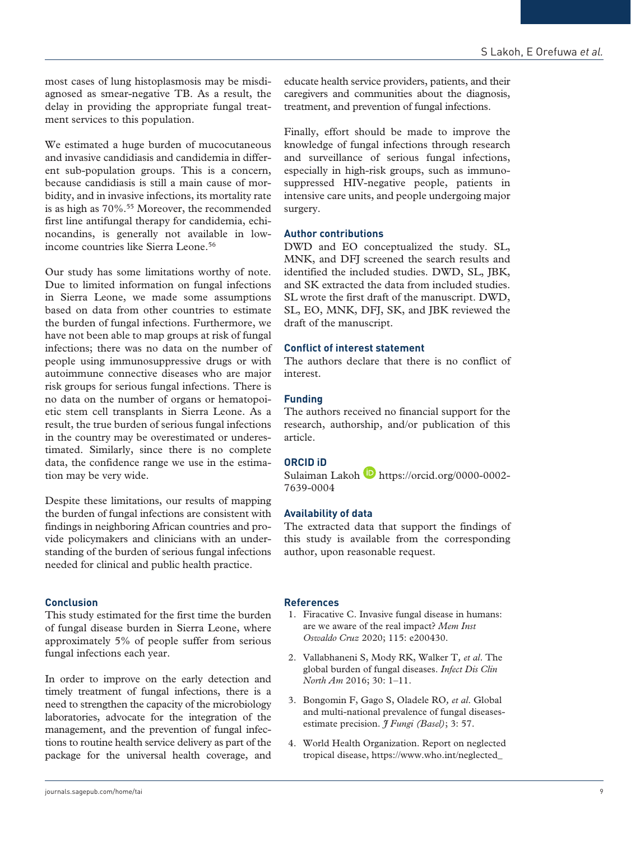most cases of lung histoplasmosis may be misdiagnosed as smear-negative TB. As a result, the delay in providing the appropriate fungal treatment services to this population.

We estimated a huge burden of mucocutaneous and invasive candidiasis and candidemia in different sub-population groups. This is a concern, because candidiasis is still a main cause of morbidity, and in invasive infections, its mortality rate is as high as  $70\%$ .<sup>55</sup> Moreover, the recommended first line antifungal therapy for candidemia, echinocandins, is generally not available in lowincome countries like Sierra Leone.<sup>56</sup>

Our study has some limitations worthy of note. Due to limited information on fungal infections in Sierra Leone, we made some assumptions based on data from other countries to estimate the burden of fungal infections. Furthermore, we have not been able to map groups at risk of fungal infections; there was no data on the number of people using immunosuppressive drugs or with autoimmune connective diseases who are major risk groups for serious fungal infections. There is no data on the number of organs or hematopoietic stem cell transplants in Sierra Leone. As a result, the true burden of serious fungal infections in the country may be overestimated or underestimated. Similarly, since there is no complete data, the confidence range we use in the estimation may be very wide.

Despite these limitations, our results of mapping the burden of fungal infections are consistent with findings in neighboring African countries and provide policymakers and clinicians with an understanding of the burden of serious fungal infections needed for clinical and public health practice.

#### **Conclusion**

This study estimated for the first time the burden of fungal disease burden in Sierra Leone, where approximately 5% of people suffer from serious fungal infections each year.

In order to improve on the early detection and timely treatment of fungal infections, there is a need to strengthen the capacity of the microbiology laboratories, advocate for the integration of the management, and the prevention of fungal infections to routine health service delivery as part of the package for the universal health coverage, and educate health service providers, patients, and their caregivers and communities about the diagnosis, treatment, and prevention of fungal infections.

Finally, effort should be made to improve the knowledge of fungal infections through research and surveillance of serious fungal infections, especially in high-risk groups, such as immunosuppressed HIV-negative people, patients in intensive care units, and people undergoing major surgery.

## **Author contributions**

DWD and EO conceptualized the study. SL, MNK, and DFJ screened the search results and identified the included studies. DWD, SL, JBK, and SK extracted the data from included studies. SL wrote the first draft of the manuscript. DWD, SL, EO, MNK, DFJ, SK, and JBK reviewed the draft of the manuscript.

#### **Conflict of interest statement**

The authors declare that there is no conflict of interest.

#### **Funding**

The authors received no financial support for the research, authorship, and/or publication of this article.

## **ORCID iD**

Sulaiman Lakoh **b** [https://orcid.org/0000-0002-](https://orcid.org/0000-0002-7639-0004) [7639-0004](https://orcid.org/0000-0002-7639-0004)

## **Availability of data**

The extracted data that support the findings of this study is available from the corresponding author, upon reasonable request.

#### **References**

- 1. Firacative C. Invasive fungal disease in humans: are we aware of the real impact? *Mem Inst Oswaldo Cruz* 2020; 115: e200430.
- 2. Vallabhaneni S, Mody RK, Walker T*, et al*. The global burden of fungal diseases. *Infect Dis Clin North Am* 2016; 30: 1–11.
- 3. Bongomin F, Gago S, Oladele RO*, et al*. Global and multi-national prevalence of fungal diseasesestimate precision. *I Fungi (Basel)*; 3: 57.
- 4. World Health Organization. Report on neglected tropical disease, [https://www.who.int/neglected\\_](https://www.who.int/neglected_diseases/diseases/en/)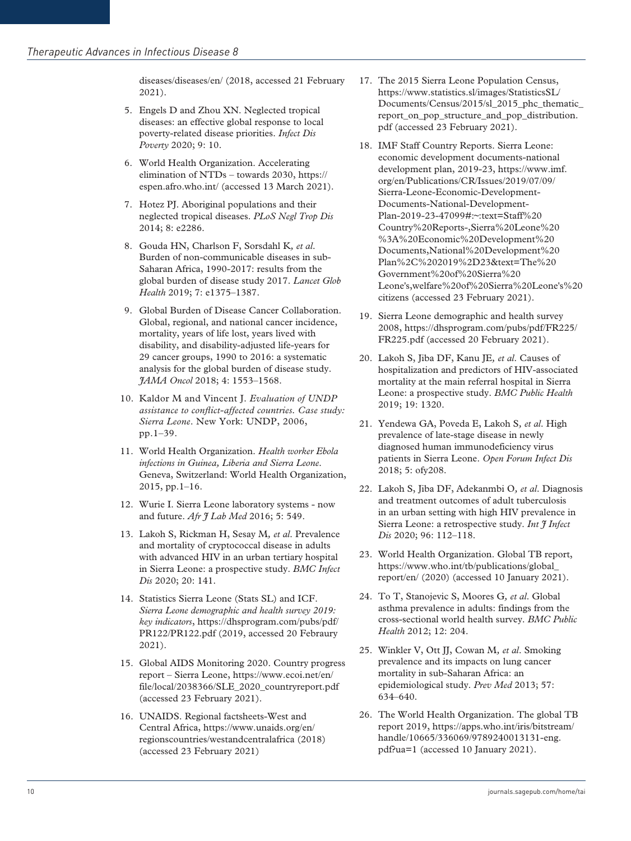[diseases/diseases/en/](https://www.who.int/neglected_diseases/diseases/en/) (2018, accessed 21 February 2021).

- 5. Engels D and Zhou XN. Neglected tropical diseases: an effective global response to local poverty-related disease priorities. *Infect Dis Poverty* 2020; 9: 10.
- 6. World Health Organization. Accelerating elimination of NTDs – towards 2030, [https://](https://espen.afro.who.Int/) [espen.afro.who.int/](https://espen.afro.who.Int/) (accessed 13 March 2021).
- 7. Hotez PJ. Aboriginal populations and their neglected tropical diseases. *PLoS Negl Trop Dis* 2014; 8: e2286.
- 8. Gouda HN, Charlson F, Sorsdahl K*, et al*. Burden of non-communicable diseases in sub-Saharan Africa, 1990-2017: results from the global burden of disease study 2017. *Lancet Glob Health* 2019; 7: e1375–1387.
- 9. Global Burden of Disease Cancer Collaboration. Global, regional, and national cancer incidence, mortality, years of life lost, years lived with disability, and disability-adjusted life-years for 29 cancer groups, 1990 to 2016: a systematic analysis for the global burden of disease study. *JAMA Oncol* 2018; 4: 1553–1568.
- 10. Kaldor M and Vincent J. *Evaluation of UNDP assistance to conflict-affected countries. Case study: Sierra Leone*. New York: UNDP, 2006, pp.1–39.
- 11. World Health Organization. *Health worker Ebola infections in Guinea, Liberia and Sierra Leone*. Geneva, Switzerland: World Health Organization, 2015, pp.1–16.
- 12. Wurie I. Sierra Leone laboratory systems now and future. *Afr J Lab Med* 2016; 5: 549.
- 13. Lakoh S, Rickman H, Sesay M*, et al*. Prevalence and mortality of cryptococcal disease in adults with advanced HIV in an urban tertiary hospital in Sierra Leone: a prospective study. *BMC Infect Dis* 2020; 20: 141.
- 14. Statistics Sierra Leone (Stats SL) and ICF. *Sierra Leone demographic and health survey 2019: key indicators*, [https://dhsprogram.com/pubs/pdf/](https://dhsprogram.com/pubs/pdf/PR122/PR122.pdf) [PR122/PR122.pdf](https://dhsprogram.com/pubs/pdf/PR122/PR122.pdf) (2019, accessed 20 Febraury 2021).
- 15. Global AIDS Monitoring 2020. Country progress report – Sierra Leone, [https://www.ecoi.net/en/](https://www.ecoi.net/en/file/local/2038366/SLE_2020_countryreport.pdf) [file/local/2038366/SLE\\_2020\\_countryreport.pdf](https://www.ecoi.net/en/file/local/2038366/SLE_2020_countryreport.pdf)  (accessed 23 February 2021).
- 16. UNAIDS. Regional factsheets-West and Central Africa, [https://www.unaids.org/en/](https://www.unaids.org/en/regionscountries/westandcentralafrica) [regionscountries/westandcentralafrica](https://www.unaids.org/en/regionscountries/westandcentralafrica) (2018) (accessed 23 February 2021)
- 17. The 2015 Sierra Leone Population Census, [https://www.statistics.sl/images/StatisticsSL/](https://www.statistics.sl/images/StatisticsSL/Documents/Census/2015/sl_2015_phc_thematic_report_on_pop_structure_and_pop_distribution.pdf) [Documents/Census/2015/sl\\_2015\\_phc\\_thematic\\_](https://www.statistics.sl/images/StatisticsSL/Documents/Census/2015/sl_2015_phc_thematic_report_on_pop_structure_and_pop_distribution.pdf) report on pop structure and pop distribution. [pdf](https://www.statistics.sl/images/StatisticsSL/Documents/Census/2015/sl_2015_phc_thematic_report_on_pop_structure_and_pop_distribution.pdf) (accessed 23 February 2021).
- 18. IMF Staff Country Reports. Sierra Leone: economic development documents-national development plan, 2019-23, [https://www.imf.](https://www.imf.org/en/Publications/CR/Issues/2019/07/09/Sierra-Leone-Economic-Development-Documents-National-Development-Plan-2019-23-47099#:~:text=Staff%20Country%20Reports-,Sierra%20Leone%20%3A%20Economic%20Development%20Documents,National%20Development%20Plan%2C%202019%2D23&text=The%20Government%20of%20Sierra%20Leone) [org/en/Publications/CR/Issues/2019/07/09/](https://www.imf.org/en/Publications/CR/Issues/2019/07/09/Sierra-Leone-Economic-Development-Documents-National-Development-Plan-2019-23-47099#:~:text=Staff%20Country%20Reports-,Sierra%20Leone%20%3A%20Economic%20Development%20Documents,National%20Development%20Plan%2C%202019%2D23&text=The%20Government%20of%20Sierra%20Leone) [Sierra-Leone-Economic-Development-](https://www.imf.org/en/Publications/CR/Issues/2019/07/09/Sierra-Leone-Economic-Development-Documents-National-Development-Plan-2019-23-47099#:~:text=Staff%20Country%20Reports-,Sierra%20Leone%20%3A%20Economic%20Development%20Documents,National%20Development%20Plan%2C%202019%2D23&text=The%20Government%20of%20Sierra%20Leone)[Documents-National-Development-](https://www.imf.org/en/Publications/CR/Issues/2019/07/09/Sierra-Leone-Economic-Development-Documents-National-Development-Plan-2019-23-47099#:~:text=Staff%20Country%20Reports-,Sierra%20Leone%20%3A%20Economic%20Development%20Documents,National%20Development%20Plan%2C%202019%2D23&text=The%20Government%20of%20Sierra%20Leone)[Plan-2019-23-47099#:~:text=Staff%20](https://www.imf.org/en/Publications/CR/Issues/2019/07/09/Sierra-Leone-Economic-Development-Documents-National-Development-Plan-2019-23-47099#:~:text=Staff%20Country%20Reports-,Sierra%20Leone%20%3A%20Economic%20Development%20Documents,National%20Development%20Plan%2C%202019%2D23&text=The%20Government%20of%20Sierra%20Leone) [Country%20Reports-,Sierra%20Leone%20](https://www.imf.org/en/Publications/CR/Issues/2019/07/09/Sierra-Leone-Economic-Development-Documents-National-Development-Plan-2019-23-47099#:~:text=Staff%20Country%20Reports-,Sierra%20Leone%20%3A%20Economic%20Development%20Documents,National%20Development%20Plan%2C%202019%2D23&text=The%20Government%20of%20Sierra%20Leone) [%3A%20Economic%20Development%20](https://www.imf.org/en/Publications/CR/Issues/2019/07/09/Sierra-Leone-Economic-Development-Documents-National-Development-Plan-2019-23-47099#:~:text=Staff%20Country%20Reports-,Sierra%20Leone%20%3A%20Economic%20Development%20Documents,National%20Development%20Plan%2C%202019%2D23&text=The%20Government%20of%20Sierra%20Leone) [Documents,National%20Development%20](https://www.imf.org/en/Publications/CR/Issues/2019/07/09/Sierra-Leone-Economic-Development-Documents-National-Development-Plan-2019-23-47099#:~:text=Staff%20Country%20Reports-,Sierra%20Leone%20%3A%20Economic%20Development%20Documents,National%20Development%20Plan%2C%202019%2D23&text=The%20Government%20of%20Sierra%20Leone) [Plan%2C%202019%2D23&text=The%20](https://www.imf.org/en/Publications/CR/Issues/2019/07/09/Sierra-Leone-Economic-Development-Documents-National-Development-Plan-2019-23-47099#:~:text=Staff%20Country%20Reports-,Sierra%20Leone%20%3A%20Economic%20Development%20Documents,National%20Development%20Plan%2C%202019%2D23&text=The%20Government%20of%20Sierra%20Leone) [Government%20of%20Sierra%20](https://www.imf.org/en/Publications/CR/Issues/2019/07/09/Sierra-Leone-Economic-Development-Documents-National-Development-Plan-2019-23-47099#:~:text=Staff%20Country%20Reports-,Sierra%20Leone%20%3A%20Economic%20Development%20Documents,National%20Development%20Plan%2C%202019%2D23&text=The%20Government%20of%20Sierra%20Leone) [Leone'](https://www.imf.org/en/Publications/CR/Issues/2019/07/09/Sierra-Leone-Economic-Development-Documents-National-Development-Plan-2019-23-47099#:~:text=Staff%20Country%20Reports-,Sierra%20Leone%20%3A%20Economic%20Development%20Documents,National%20Development%20Plan%2C%202019%2D23&text=The%20Government%20of%20Sierra%20Leone)s,welfare%20of%20Sierra%20Leone's%20 citizens (accessed 23 February 2021).
- 19. Sierra Leone demographic and health survey 2008, [https://dhsprogram.com/pubs/pdf/FR225/](https://dhsprogram.com/pubs/pdf/FR225/FR225.pdf) [FR225.pdf](https://dhsprogram.com/pubs/pdf/FR225/FR225.pdf) (accessed 20 February 2021).
- 20. Lakoh S, Jiba DF, Kanu JE*, et al*. Causes of hospitalization and predictors of HIV-associated mortality at the main referral hospital in Sierra Leone: a prospective study. *BMC Public Health* 2019; 19: 1320.
- 21. Yendewa GA, Poveda E, Lakoh S*, et al*. High prevalence of late-stage disease in newly diagnosed human immunodeficiency virus patients in Sierra Leone. *Open Forum Infect Dis* 2018; 5: ofy208.
- 22. Lakoh S, Jiba DF, Adekanmbi O*, et al*. Diagnosis and treatment outcomes of adult tuberculosis in an urban setting with high HIV prevalence in Sierra Leone: a retrospective study. *Int I Infect Dis* 2020; 96: 112–118.
- 23. World Health Organization. Global TB report, [https://www.who.int/tb/publications/global\\_](https://www.who.int/tb/publications/global_report/en/) [report/en/](https://www.who.int/tb/publications/global_report/en/) (2020) (accessed 10 January 2021).
- 24. To T, Stanojevic S, Moores G*, et al*. Global asthma prevalence in adults: findings from the cross-sectional world health survey. *BMC Public Health* 2012; 12: 204.
- 25. Winkler V, Ott JJ, Cowan M*, et al*. Smoking prevalence and its impacts on lung cancer mortality in sub-Saharan Africa: an epidemiological study. *Prev Med* 2013; 57: 634–640.
- 26. The World Health Organization. The global TB report 2019, [https://apps.who.int/iris/bitstream/](https://apps.who.int/iris/bitstream/handle/10665/336069/9789240013131-eng.pdf?ua=1) [handle/10665/336069/9789240013131-eng.](https://apps.who.int/iris/bitstream/handle/10665/336069/9789240013131-eng.pdf?ua=1) [pdf?ua=1](https://apps.who.int/iris/bitstream/handle/10665/336069/9789240013131-eng.pdf?ua=1) (accessed 10 January 2021).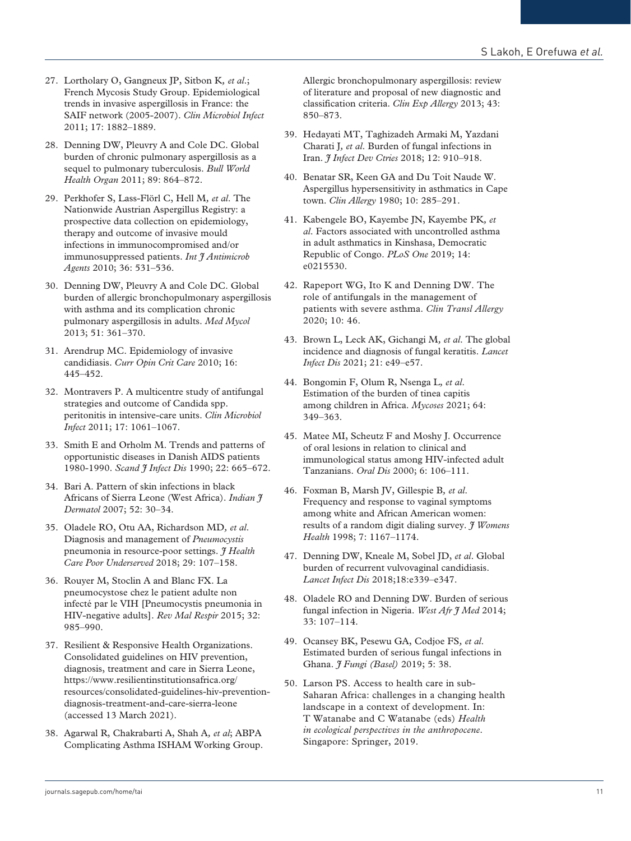- 27. Lortholary O, Gangneux JP, Sitbon K*, et al*.; French Mycosis Study Group. Epidemiological trends in invasive aspergillosis in France: the SAIF network (2005-2007). *Clin Microbiol Infect* 2011; 17: 1882–1889.
- 28. Denning DW, Pleuvry A and Cole DC. Global burden of chronic pulmonary aspergillosis as a sequel to pulmonary tuberculosis. *Bull World Health Organ* 2011; 89: 864–872.
- 29. Perkhofer S, Lass-Flörl C, Hell M*, et al*. The Nationwide Austrian Aspergillus Registry: a prospective data collection on epidemiology, therapy and outcome of invasive mould infections in immunocompromised and/or immunosuppressed patients. *Int J Antimicrob Agents* 2010; 36: 531–536.
- 30. Denning DW, Pleuvry A and Cole DC. Global burden of allergic bronchopulmonary aspergillosis with asthma and its complication chronic pulmonary aspergillosis in adults. *Med Mycol* 2013; 51: 361–370.
- 31. Arendrup MC. Epidemiology of invasive candidiasis. *Curr Opin Crit Care* 2010; 16: 445–452.
- 32. Montravers P. A multicentre study of antifungal strategies and outcome of Candida spp. peritonitis in intensive-care units. *Clin Microbiol Infect* 2011; 17: 1061–1067.
- 33. Smith E and Orholm M. Trends and patterns of opportunistic diseases in Danish AIDS patients 1980-1990. *Scand J Infect Dis* 1990; 22: 665–672.
- 34. Bari A. Pattern of skin infections in black Africans of Sierra Leone (West Africa). *Indian J Dermatol* 2007; 52: 30–34.
- 35. Oladele RO, Otu AA, Richardson MD*, et al*. Diagnosis and management of *Pneumocystis* pneumonia in resource-poor settings. *J Health Care Poor Underserved* 2018; 29: 107–158.
- 36. Rouyer M, Stoclin A and Blanc FX. La pneumocystose chez le patient adulte non infecté par le VIH [Pneumocystis pneumonia in HIV-negative adults]. *Rev Mal Respir* 2015; 32: 985–990.
- 37. Resilient & Responsive Health Organizations. Consolidated guidelines on HIV prevention, diagnosis, treatment and care in Sierra Leone, [https://www.resilientinstitutionsafrica.org/](https://www.resilientinstitutionsafrica.org/resources/consolidated-guidelines-hiv-prevention-diagnosis-treatment-and-care-sierra-leone) [resources/consolidated-guidelines-hiv-prevention](https://www.resilientinstitutionsafrica.org/resources/consolidated-guidelines-hiv-prevention-diagnosis-treatment-and-care-sierra-leone)[diagnosis-treatment-and-care-sierra-leone](https://www.resilientinstitutionsafrica.org/resources/consolidated-guidelines-hiv-prevention-diagnosis-treatment-and-care-sierra-leone)  (accessed 13 March 2021).
- 38. Agarwal R, Chakrabarti A, Shah A*, et al*; ABPA Complicating Asthma ISHAM Working Group.

Allergic bronchopulmonary aspergillosis: review of literature and proposal of new diagnostic and classification criteria. *Clin Exp Allergy* 2013; 43: 850–873.

- 39. Hedayati MT, Taghizadeh Armaki M, Yazdani Charati J*, et al*. Burden of fungal infections in Iran. *J Infect Dev Ctries* 2018; 12: 910–918.
- 40. Benatar SR, Keen GA and Du Toit Naude W. Aspergillus hypersensitivity in asthmatics in Cape town. *Clin Allergy* 1980; 10: 285–291.
- 41. Kabengele BO, Kayembe JN, Kayembe PK*, et al*. Factors associated with uncontrolled asthma in adult asthmatics in Kinshasa, Democratic Republic of Congo. *PLoS One* 2019; 14: e0215530.
- 42. Rapeport WG, Ito K and Denning DW. The role of antifungals in the management of patients with severe asthma. *Clin Transl Allergy* 2020; 10: 46.
- 43. Brown L, Leck AK, Gichangi M*, et al*. The global incidence and diagnosis of fungal keratitis. *Lancet Infect Dis* 2021; 21: e49–e57.
- 44. Bongomin F, Olum R, Nsenga L*, et al*. Estimation of the burden of tinea capitis among children in Africa. *Mycoses* 2021; 64: 349–363.
- 45. Matee MI, Scheutz F and Moshy J. Occurrence of oral lesions in relation to clinical and immunological status among HIV-infected adult Tanzanians. *Oral Dis* 2000; 6: 106–111.
- 46. Foxman B, Marsh JV, Gillespie B*, et al*. Frequency and response to vaginal symptoms among white and African American women: results of a random digit dialing survey. *J Womens Health* 1998; 7: 1167–1174.
- 47. Denning DW, Kneale M, Sobel JD, *et al*. Global burden of recurrent vulvovaginal candidiasis. *Lancet Infect Dis* 2018;18:e339–e347.
- 48. Oladele RO and Denning DW. Burden of serious fungal infection in Nigeria. *West Afr J Med* 2014; 33: 107–114.
- 49. Ocansey BK, Pesewu GA, Codjoe FS*, et al*. Estimated burden of serious fungal infections in Ghana. *J Fungi (Basel)* 2019; 5: 38.
- 50. Larson PS. Access to health care in sub-Saharan Africa: challenges in a changing health landscape in a context of development. In: T Watanabe and C Watanabe (eds) *Health in ecological perspectives in the anthropocene*. Singapore: Springer, 2019.